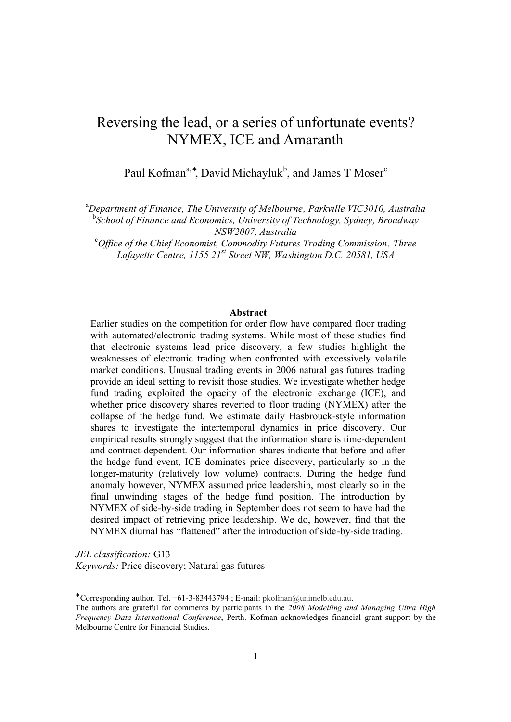# Reversing the lead, or a series of unfortunate events? NYMEX, ICE and Amaranth

Paul Kofman<sup>a,∗</sup>, David Michayluk<sup>b</sup>, and James T Moser<sup>c</sup>

<sup>a</sup>*Department of Finance, The University of Melbourne, Parkville VIC3010, Australia* b *School of Finance and Economics, University of Technology, Sydney, Broadway NSW2007, Australia*

<sup>c</sup>*Office of the Chief Economist, Commodity Futures Trading Commission, Three Lafayette Centre, 1155 21st Street NW, Washington D.C. 20581, USA*

## **Abstract**

Earlier studies on the competition for order flow have compared floor trading with automated/electronic trading systems. While most of these studies find that electronic systems lead price discovery, a few studies highlight the weaknesses of electronic trading when confronted with excessively volatile market conditions. Unusual trading events in 2006 natural gas futures trading provide an ideal setting to revisit those studies. We investigate whether hedge fund trading exploited the opacity of the electronic exchange (ICE), and whether price discovery shares reverted to floor trading (NYMEX) after the collapse of the hedge fund. We estimate daily Hasbrouck-style information shares to investigate the intertemporal dynamics in price discovery. Our empirical results strongly suggest that the information share is time-dependent and contract-dependent. Our information shares indicate that before and after the hedge fund event, ICE dominates price discovery, particularly so in the longer-maturity (relatively low volume) contracts. During the hedge fund anomaly however, NYMEX assumed price leadership, most clearly so in the final unwinding stages of the hedge fund position. The introduction by NYMEX of side-by-side trading in September does not seem to have had the desired impact of retrieving price leadership. We do, however, find that the NYMEX diurnal has "flattened" after the introduction of side-by-side trading.

*JEL classification:* G13 *Keywords:* Price discovery; Natural gas futures

<sup>∗</sup> Corresponding author. Tel. +61-3-83443794 ; E-mail: pkofman@unimelb.edu.au.

The authors are grateful for comments by participants in the *2008 Modelling and Managing Ultra High Frequency Data International Conference*, Perth. Kofman acknowledges financial grant support by the Melbourne Centre for Financial Studies.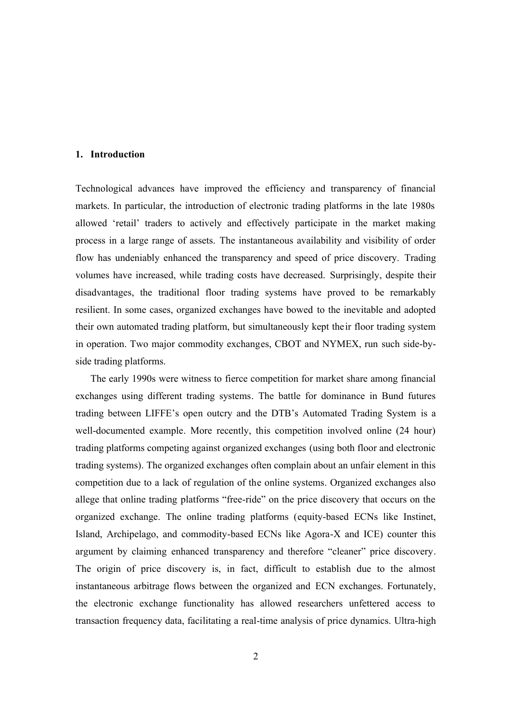### **1. Introduction**

Technological advances have improved the efficiency and transparency of financial markets. In particular, the introduction of electronic trading platforms in the late 1980s allowed 'retail' traders to actively and effectively participate in the market making process in a large range of assets. The instantaneous availability and visibility of order flow has undeniably enhanced the transparency and speed of price discovery. Trading volumes have increased, while trading costs have decreased. Surprisingly, despite their disadvantages, the traditional floor trading systems have proved to be remarkably resilient. In some cases, organized exchanges have bowed to the inevitable and adopted their own automated trading platform, but simultaneously kept their floor trading system in operation. Two major commodity exchanges, CBOT and NYMEX, run such side-byside trading platforms.

The early 1990s were witness to fierce competition for market share among financial exchanges using different trading systems. The battle for dominance in Bund futures trading between LIFFE's open outcry and the DTB's Automated Trading System is a well-documented example. More recently, this competition involved online (24 hour) trading platforms competing against organized exchanges (using both floor and electronic trading systems). The organized exchanges often complain about an unfair element in this competition due to a lack of regulation of the online systems. Organized exchanges also allege that online trading platforms "free-ride" on the price discovery that occurs on the organized exchange. The online trading platforms (equity-based ECNs like Instinet, Island, Archipelago, and commodity-based ECNs like Agora-X and ICE) counter this argument by claiming enhanced transparency and therefore "cleaner" price discovery. The origin of price discovery is, in fact, difficult to establish due to the almost instantaneous arbitrage flows between the organized and ECN exchanges. Fortunately, the electronic exchange functionality has allowed researchers unfettered access to transaction frequency data, facilitating a real-time analysis of price dynamics. Ultra-high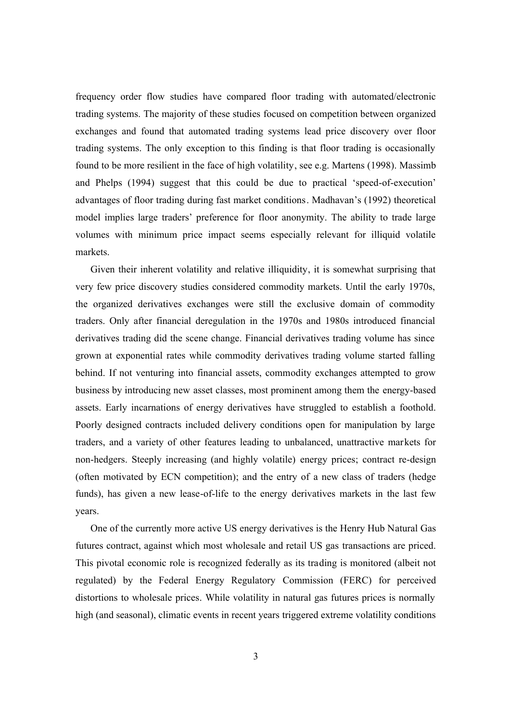frequency order flow studies have compared floor trading with automated/electronic trading systems. The majority of these studies focused on competition between organized exchanges and found that automated trading systems lead price discovery over floor trading systems. The only exception to this finding is that floor trading is occasionally found to be more resilient in the face of high volatility, see e.g. Martens (1998). Massimb and Phelps (1994) suggest that this could be due to practical 'speed-of-execution' advantages of floor trading during fast market conditions. Madhavan's (1992) theoretical model implies large traders' preference for floor anonymity. The ability to trade large volumes with minimum price impact seems especially relevant for illiquid volatile markets.

Given their inherent volatility and relative illiquidity, it is somewhat surprising that very few price discovery studies considered commodity markets. Until the early 1970s, the organized derivatives exchanges were still the exclusive domain of commodity traders. Only after financial deregulation in the 1970s and 1980s introduced financial derivatives trading did the scene change. Financial derivatives trading volume has since grown at exponential rates while commodity derivatives trading volume started falling behind. If not venturing into financial assets, commodity exchanges attempted to grow business by introducing new asset classes, most prominent among them the energy-based assets. Early incarnations of energy derivatives have struggled to establish a foothold. Poorly designed contracts included delivery conditions open for manipulation by large traders, and a variety of other features leading to unbalanced, unattractive markets for non-hedgers. Steeply increasing (and highly volatile) energy prices; contract re-design (often motivated by ECN competition); and the entry of a new class of traders (hedge funds), has given a new lease-of-life to the energy derivatives markets in the last few years.

One of the currently more active US energy derivatives is the Henry Hub Natural Gas futures contract, against which most wholesale and retail US gas transactions are priced. This pivotal economic role is recognized federally as its trading is monitored (albeit not regulated) by the Federal Energy Regulatory Commission (FERC) for perceived distortions to wholesale prices. While volatility in natural gas futures prices is normally high (and seasonal), climatic events in recent years triggered extreme volatility conditions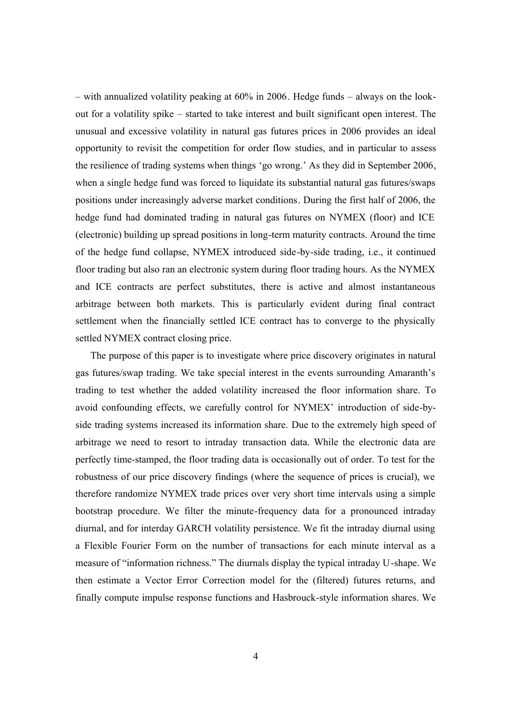– with annualized volatility peaking at 60% in 2006. Hedge funds – always on the lookout for a volatility spike – started to take interest and built significant open interest. The unusual and excessive volatility in natural gas futures prices in 2006 provides an ideal opportunity to revisit the competition for order flow studies, and in particular to assess the resilience of trading systems when things 'go wrong.' As they did in September 2006, when a single hedge fund was forced to liquidate its substantial natural gas futures/swaps positions under increasingly adverse market conditions. During the first half of 2006, the hedge fund had dominated trading in natural gas futures on NYMEX (floor) and ICE (electronic) building up spread positions in long-term maturity contracts. Around the time of the hedge fund collapse, NYMEX introduced side-by-side trading, i.e., it continued floor trading but also ran an electronic system during floor trading hours. As the NYMEX and ICE contracts are perfect substitutes, there is active and almost instantaneous arbitrage between both markets. This is particularly evident during final contract settlement when the financially settled ICE contract has to converge to the physically settled NYMEX contract closing price.

The purpose of this paper is to investigate where price discovery originates in natural gas futures/swap trading. We take special interest in the events surrounding Amaranth's trading to test whether the added volatility increased the floor information share. To avoid confounding effects, we carefully control for NYMEX' introduction of side-byside trading systems increased its information share. Due to the extremely high speed of arbitrage we need to resort to intraday transaction data. While the electronic data are perfectly time-stamped, the floor trading data is occasionally out of order. To test for the robustness of our price discovery findings (where the sequence of prices is crucial), we therefore randomize NYMEX trade prices over very short time intervals using a simple bootstrap procedure. We filter the minute-frequency data for a pronounced intraday diurnal, and for interday GARCH volatility persistence. We fit the intraday diurnal using a Flexible Fourier Form on the number of transactions for each minute interval as a measure of "information richness." The diurnals display the typical intraday U-shape. We then estimate a Vector Error Correction model for the (filtered) futures returns, and finally compute impulse response functions and Hasbrouck-style information shares. We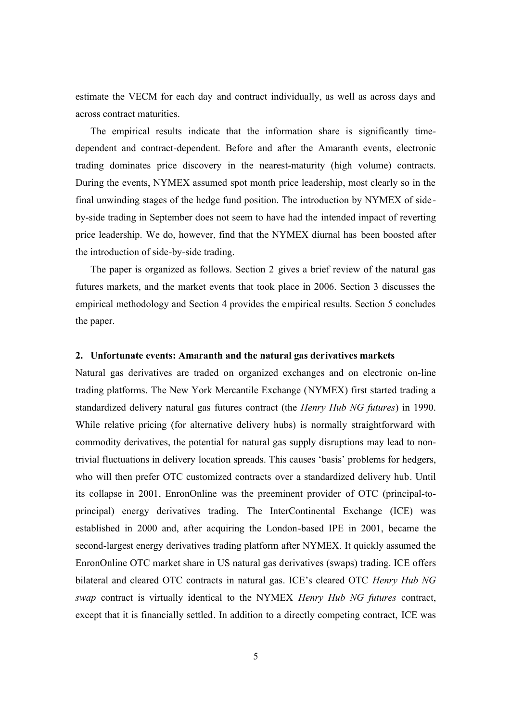estimate the VECM for each day and contract individually, as well as across days and across contract maturities.

The empirical results indicate that the information share is significantly timedependent and contract-dependent. Before and after the Amaranth events, electronic trading dominates price discovery in the nearest-maturity (high volume) contracts. During the events, NYMEX assumed spot month price leadership, most clearly so in the final unwinding stages of the hedge fund position. The introduction by NYMEX of sideby-side trading in September does not seem to have had the intended impact of reverting price leadership. We do, however, find that the NYMEX diurnal has been boosted after the introduction of side-by-side trading.

The paper is organized as follows. Section 2 gives a brief review of the natural gas futures markets, and the market events that took place in 2006. Section 3 discusses the empirical methodology and Section 4 provides the empirical results. Section 5 concludes the paper.

## **2. Unfortunate events: Amaranth and the natural gas derivatives markets**

Natural gas derivatives are traded on organized exchanges and on electronic on-line trading platforms. The New York Mercantile Exchange (NYMEX) first started trading a standardized delivery natural gas futures contract (the *Henry Hub NG futures*) in 1990. While relative pricing (for alternative delivery hubs) is normally straightforward with commodity derivatives, the potential for natural gas supply disruptions may lead to nontrivial fluctuations in delivery location spreads. This causes 'basis' problems for hedgers, who will then prefer OTC customized contracts over a standardized delivery hub. Until its collapse in 2001, EnronOnline was the preeminent provider of OTC (principal-toprincipal) energy derivatives trading. The InterContinental Exchange (ICE) was established in 2000 and, after acquiring the London-based IPE in 2001, became the second-largest energy derivatives trading platform after NYMEX. It quickly assumed the EnronOnline OTC market share in US natural gas derivatives (swaps) trading. ICE offers bilateral and cleared OTC contracts in natural gas. ICE's cleared OTC *Henry Hub NG swap* contract is virtually identical to the NYMEX *Henry Hub NG futures* contract, except that it is financially settled. In addition to a directly competing contract, ICE was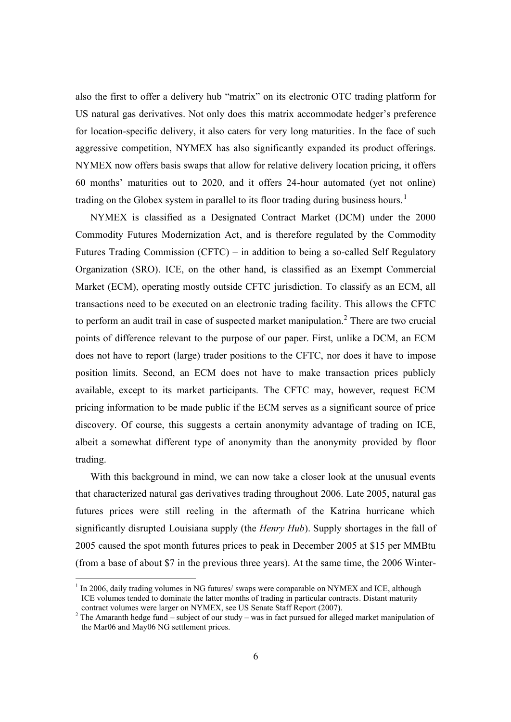also the first to offer a delivery hub "matrix" on its electronic OTC trading platform for US natural gas derivatives. Not only does this matrix accommodate hedger's preference for location-specific delivery, it also caters for very long maturities. In the face of such aggressive competition, NYMEX has also significantly expanded its product offerings. NYMEX now offers basis swaps that allow for relative delivery location pricing, it offers 60 months' maturities out to 2020, and it offers 24-hour automated (yet not online) trading on the Globex system in parallel to its floor trading during business hours.<sup>1</sup>

NYMEX is classified as a Designated Contract Market (DCM) under the 2000 Commodity Futures Modernization Act, and is therefore regulated by the Commodity Futures Trading Commission (CFTC) – in addition to being a so-called Self Regulatory Organization (SRO). ICE, on the other hand, is classified as an Exempt Commercial Market (ECM), operating mostly outside CFTC jurisdiction. To classify as an ECM, all transactions need to be executed on an electronic trading facility. This allows the CFTC to perform an audit trail in case of suspected market manipulation.<sup>2</sup> There are two crucial points of difference relevant to the purpose of our paper. First, unlike a DCM, an ECM does not have to report (large) trader positions to the CFTC, nor does it have to impose position limits. Second, an ECM does not have to make transaction prices publicly available, except to its market participants. The CFTC may, however, request ECM pricing information to be made public if the ECM serves as a significant source of price discovery. Of course, this suggests a certain anonymity advantage of trading on ICE, albeit a somewhat different type of anonymity than the anonymity provided by floor trading.

With this background in mind, we can now take a closer look at the unusual events that characterized natural gas derivatives trading throughout 2006. Late 2005, natural gas futures prices were still reeling in the aftermath of the Katrina hurricane which significantly disrupted Louisiana supply (the *Henry Hub*). Supply shortages in the fall of 2005 caused the spot month futures prices to peak in December 2005 at \$15 per MMBtu (from a base of about \$7 in the previous three years). At the same time, the 2006 Winter-

 $1$  In 2006, daily trading volumes in NG futures/ swaps were comparable on NYMEX and ICE, although ICE volumes tended to dominate the latter months of trading in particular contracts. Distant maturity contract volumes were larger on NYMEX, see US Senate Staff Report (2007).

<sup>&</sup>lt;sup>2</sup> The Amaranth hedge fund – subject of our study – was in fact pursued for alleged market manipulation of the Mar06 and May06 NG settlement prices.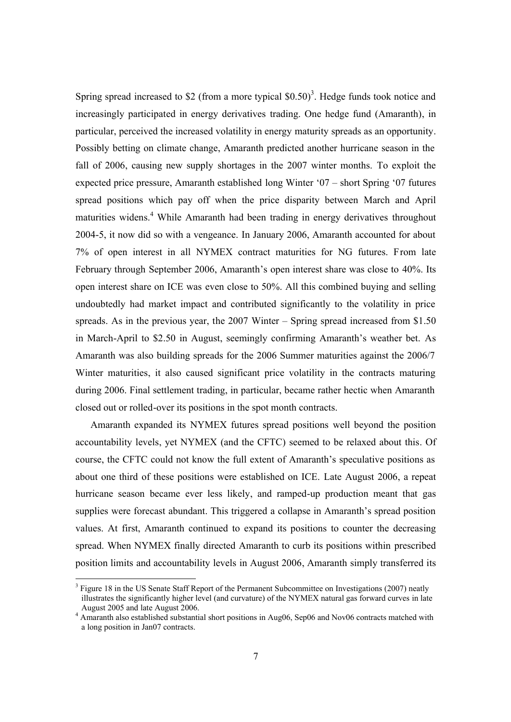Spring spread increased to \$2 (from a more typical  $$0.50$ )<sup>3</sup>. Hedge funds took notice and increasingly participated in energy derivatives trading. One hedge fund (Amaranth), in particular, perceived the increased volatility in energy maturity spreads as an opportunity. Possibly betting on climate change, Amaranth predicted another hurricane season in the fall of 2006, causing new supply shortages in the 2007 winter months. To exploit the expected price pressure, Amaranth established long Winter '07 – short Spring '07 futures spread positions which pay off when the price disparity between March and April maturities widens. <sup>4</sup> While Amaranth had been trading in energy derivatives throughout 2004-5, it now did so with a vengeance. In January 2006, Amaranth accounted for about 7% of open interest in all NYMEX contract maturities for NG futures. From late February through September 2006, Amaranth's open interest share was close to 40%. Its open interest share on ICE was even close to 50%. All this combined buying and selling undoubtedly had market impact and contributed significantly to the volatility in price spreads. As in the previous year, the 2007 Winter – Spring spread increased from \$1.50 in March-April to \$2.50 in August, seemingly confirming Amaranth's weather bet. As Amaranth was also building spreads for the 2006 Summer maturities against the 2006/7 Winter maturities, it also caused significant price volatility in the contracts maturing during 2006. Final settlement trading, in particular, became rather hectic when Amaranth closed out or rolled-over its positions in the spot month contracts.

Amaranth expanded its NYMEX futures spread positions well beyond the position accountability levels, yet NYMEX (and the CFTC) seemed to be relaxed about this. Of course, the CFTC could not know the full extent of Amaranth's speculative positions as about one third of these positions were established on ICE. Late August 2006, a repeat hurricane season became ever less likely, and ramped-up production meant that gas supplies were forecast abundant. This triggered a collapse in Amaranth's spread position values. At first, Amaranth continued to expand its positions to counter the decreasing spread. When NYMEX finally directed Amaranth to curb its positions within prescribed position limits and accountability levels in August 2006, Amaranth simply transferred its

<sup>&</sup>lt;sup>3</sup> Figure 18 in the US Senate Staff Report of the Permanent Subcommittee on Investigations (2007) neatly illustrates the significantly higher level (and curvature) of the NYMEX natural gas forward curves in late August 2005 and late August 2006.

<sup>&</sup>lt;sup>4</sup> Amaranth also established substantial short positions in Aug06, Sep06 and Nov06 contracts matched with a long position in Jan07 contracts.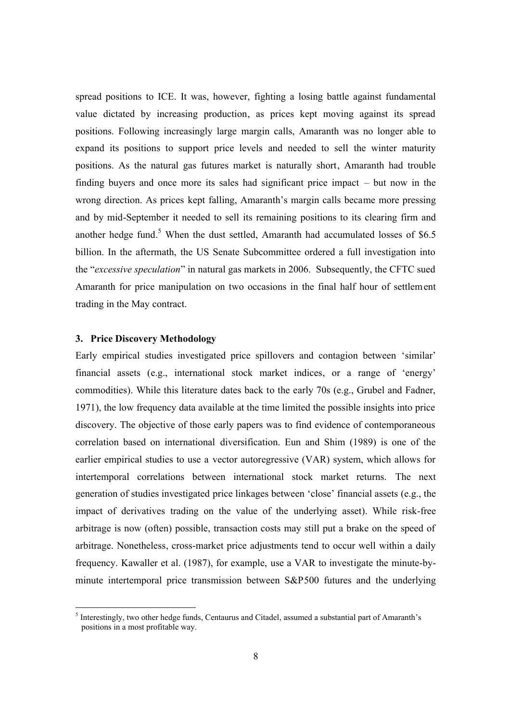spread positions to ICE. It was, however, fighting a losing battle against fundamental value dictated by increasing production, as prices kept moving against its spread positions. Following increasingly large margin calls, Amaranth was no longer able to expand its positions to support price levels and needed to sell the winter maturity positions. As the natural gas futures market is naturally short, Amaranth had trouble finding buyers and once more its sales had significant price impact – but now in the wrong direction. As prices kept falling, Amaranth's margin calls became more pressing and by mid-September it needed to sell its remaining positions to its clearing firm and another hedge fund. <sup>5</sup> When the dust settled, Amaranth had accumulated losses of \$6.5 billion. In the aftermath, the US Senate Subcommittee ordered a full investigation into the "*excessive speculation*" in natural gas markets in 2006. Subsequently, the CFTC sued Amaranth for price manipulation on two occasions in the final half hour of settlement trading in the May contract.

## **3. Price Discovery Methodology**

-

Early empirical studies investigated price spillovers and contagion between 'similar' financial assets (e.g., international stock market indices, or a range of 'energy' commodities). While this literature dates back to the early 70s (e.g., Grubel and Fadner, 1971), the low frequency data available at the time limited the possible insights into price discovery. The objective of those early papers was to find evidence of contemporaneous correlation based on international diversification. Eun and Shim (1989) is one of the earlier empirical studies to use a vector autoregressive (VAR) system, which allows for intertemporal correlations between international stock market returns. The next generation of studies investigated price linkages between 'close' financial assets (e.g., the impact of derivatives trading on the value of the underlying asset). While risk-free arbitrage is now (often) possible, transaction costs may still put a brake on the speed of arbitrage. Nonetheless, cross-market price adjustments tend to occur well within a daily frequency. Kawaller et al. (1987), for example, use a VAR to investigate the minute-byminute intertemporal price transmission between S&P500 futures and the underlying

<sup>&</sup>lt;sup>5</sup> Interestingly, two other hedge funds, Centaurus and Citadel, assumed a substantial part of Amaranth's positions in a most profitable way.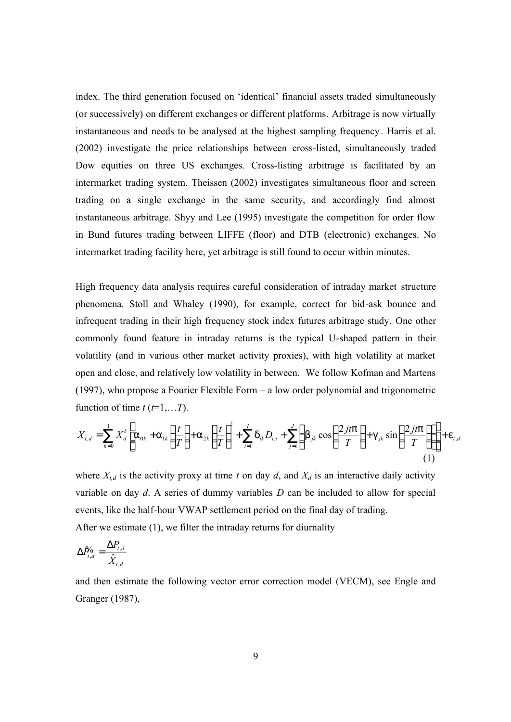index. The third generation focused on 'identical' financial assets traded simultaneously (or successively) on different exchanges or different platforms. Arbitrage is now virtually instantaneous and needs to be analysed at the highest sampling frequency. Harris et al. (2002) investigate the price relationships between cross-listed, simultaneously traded Dow equities on three US exchanges. Cross-listing arbitrage is facilitated by an intermarket trading system. Theissen (2002) investigates simultaneous floor and screen trading on a single exchange in the same security, and accordingly find almost instantaneous arbitrage. Shyy and Lee (1995) investigate the competition for order flow in Bund futures trading between LIFFE (floor) and DTB (electronic) exchanges. No intermarket trading facility here, yet arbitrage is still found to occur within minutes.

High frequency data analysis requires careful consideration of intraday market structure phenomena. Stoll and Whaley (1990), for example, correct for bid-ask bounce and infrequent trading in their high frequency stock index futures arbitrage study. One other commonly found feature in intraday returns is the typical U-shaped pattern in their volatility (and in various other market activity proxies), with high volatility at market open and close, and relatively low volatility in between. We follow Kofman and Martens (1997), who propose a Fourier Flexible Form – a low order polynomial and trigonometric function of time  $t$  ( $t=1,...T$ ).

$$
X_{t,d} = \sum_{k=0}^{1} X_d^k \left[ a_{0k} + a_{1k} \left( \frac{t}{T} \right) + a_{2k} \left( \frac{t}{T} \right)^2 + \sum_{i=1}^{I} d_{ik} D_{i,t} + \sum_{j=1}^{J} \left( b_{jk} \cos \left( \frac{2jtp}{T} \right) + g_{jk} \sin \left( \frac{2jtp}{T} \right) \right) \right] + e_{t,d}
$$
\n(1)

where  $X_{t,d}$  is the activity proxy at time *t* on day *d*, and  $X_d$  is an interactive daily activity variable on day *d*. A series of dummy variables *D* can be included to allow for special events, like the half-hour VWAP settlement period on the final day of trading. After we estimate (1), we filter the intraday returns for diurnality

$$
\Delta P^{\prime}_{t,d} = \frac{\Delta P_{t,d}}{\hat{X}_{t,d}}
$$

and then estimate the following vector error correction model (VECM), see Engle and Granger (1987),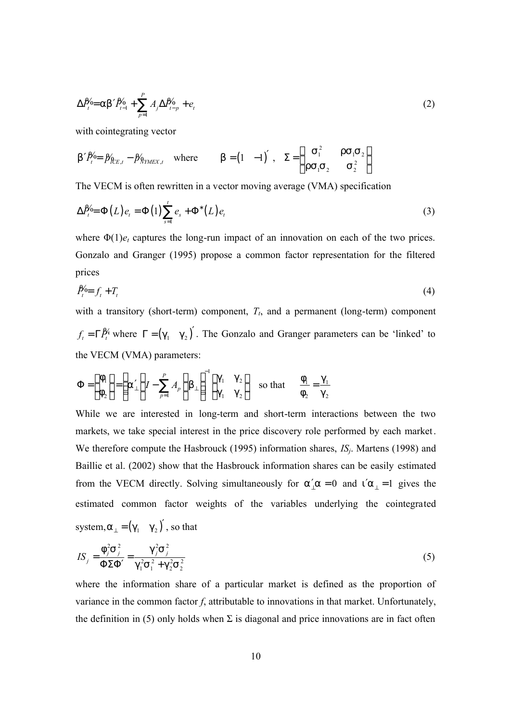$$
\Delta P'_{t} = ab' P'_{t-1} + \sum_{p=1}^{P} A_j \Delta P'_{t-p} + e_t
$$
\n(2)

with cointegrating vector

$$
b'P_t^{\prime 0} = \beta_{R_{CE,t}}^{\prime} - \beta_{R_{TMEX,t}}^{\prime} \quad \text{where} \qquad b = \begin{pmatrix} 1 & -1 \end{pmatrix}', \quad \Sigma = \begin{pmatrix} S_1^2 & rS_1S_2 \\ rS_1S_2 & S_2^2 \end{pmatrix}
$$

The VECM is often rewritten in a vector moving average (VMA) specification

$$
\Delta P_t^{\prime} = \Phi(L) e_t = \Phi(1) \sum_{s=1}^t e_s + \Phi^*(L) e_t \tag{3}
$$

where  $\Phi(1)e_t$  captures the long-run impact of an innovation on each of the two prices. Gonzalo and Granger (1995) propose a common factor representation for the filtered prices

$$
\hat{P}_t^{\prime} = f_t + T_t \tag{4}
$$

with a transitory (short-term) component,  $T_t$ , and a permanent (long-term) component  $f_t = \Gamma P_t^y$  where  $\Gamma = (g_1 \quad g_2)'$ . The Gonzalo and Granger parameters can be 'linked' to the VECM (VMA) parameters:

$$
\Phi = \begin{pmatrix} f_1 \\ f_2 \end{pmatrix} = \left( a'_\perp \begin{pmatrix} I - \sum_{p=1}^P A_p \\ 0 \end{pmatrix} b_\perp \right)^{-1} \begin{pmatrix} g_1 & g_2 \\ g_1 & g_2 \end{pmatrix} \text{ so that } \frac{f_1}{f_2} = \frac{g_1}{g_2}
$$

While we are interested in long-term and short-term interactions between the two markets, we take special interest in the price discovery role performed by each market. We therefore compute the Hasbrouck (1995) information shares, *ISj*. Martens (1998) and Baillie et al. (2002) show that the Hasbrouck information shares can be easily estimated from the VECM directly. Solving simultaneously for  $a'_1a = 0$  and  $i'a_1 = 1$  gives the estimated common factor weights of the variables underlying the cointegrated system, $a_{\perp} = (g_1 \quad g_2)'$ , so that

$$
IS_j = \frac{f_j^2 S_j^2}{\Phi \Sigma \Phi'} = \frac{g_j^2 S_j^2}{g_1^2 S_1^2 + g_2^2 S_2^2}
$$
 (5)

where the information share of a particular market is defined as the proportion of variance in the common factor *f*, attributable to innovations in that market. Unfortunately, the definition in (5) only holds when  $\Sigma$  is diagonal and price innovations are in fact often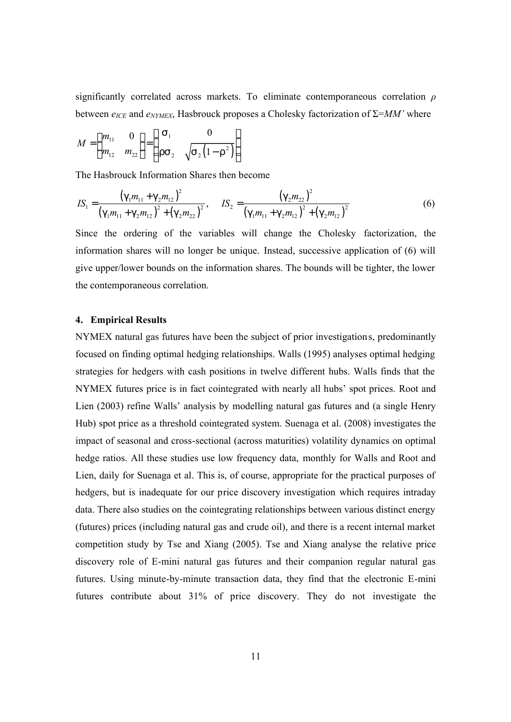significantly correlated across markets. To eliminate contemporaneous correlation *ρ* between *eICE* and *eNYMEX*, Hasbrouck proposes a Cholesky factorization of Σ=*MM'* where

$$
M = \begin{pmatrix} m_{11} & 0 \\ m_{12} & m_{22} \end{pmatrix} = \begin{pmatrix} S_1 & 0 \\ rS_2 & \sqrt{S_2(1-r^2)} \end{pmatrix}
$$

The Hasbrouck Information Shares then become

$$
IS_{1} = \frac{\left(g_{1}m_{11} + g_{2}m_{12}\right)^{2}}{\left(g_{1}m_{11} + g_{2}m_{12}\right)^{2} + \left(g_{2}m_{22}\right)^{2}}, \quad IS_{2} = \frac{\left(g_{2}m_{22}\right)^{2}}{\left(g_{1}m_{11} + g_{2}m_{12}\right)^{2} + \left(g_{2}m_{12}\right)^{2}}
$$
(6)

Since the ordering of the variables will change the Cholesky factorization, the information shares will no longer be unique. Instead, successive application of (6) will give upper/lower bounds on the information shares. The bounds will be tighter, the lower the contemporaneous correlation.

## **4. Empirical Results**

NYMEX natural gas futures have been the subject of prior investigations, predominantly focused on finding optimal hedging relationships. Walls (1995) analyses optimal hedging strategies for hedgers with cash positions in twelve different hubs. Walls finds that the NYMEX futures price is in fact cointegrated with nearly all hubs' spot prices. Root and Lien (2003) refine Walls' analysis by modelling natural gas futures and (a single Henry Hub) spot price as a threshold cointegrated system. Suenaga et al. (2008) investigates the impact of seasonal and cross-sectional (across maturities) volatility dynamics on optimal hedge ratios. All these studies use low frequency data, monthly for Walls and Root and Lien, daily for Suenaga et al. This is, of course, appropriate for the practical purposes of hedgers, but is inadequate for our price discovery investigation which requires intraday data. There also studies on the cointegrating relationships between various distinct energy (futures) prices (including natural gas and crude oil), and there is a recent internal market competition study by Tse and Xiang (2005). Tse and Xiang analyse the relative price discovery role of E-mini natural gas futures and their companion regular natural gas futures. Using minute-by-minute transaction data, they find that the electronic E-mini futures contribute about 31% of price discovery. They do not investigate the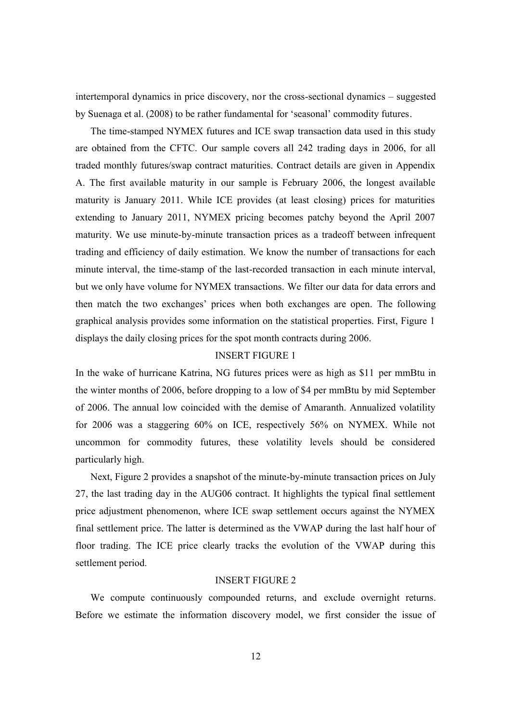intertemporal dynamics in price discovery, nor the cross-sectional dynamics – suggested by Suenaga et al. (2008) to be rather fundamental for 'seasonal' commodity futures.

The time-stamped NYMEX futures and ICE swap transaction data used in this study are obtained from the CFTC. Our sample covers all 242 trading days in 2006, for all traded monthly futures/swap contract maturities. Contract details are given in Appendix A. The first available maturity in our sample is February 2006, the longest available maturity is January 2011. While ICE provides (at least closing) prices for maturities extending to January 2011, NYMEX pricing becomes patchy beyond the April 2007 maturity. We use minute-by-minute transaction prices as a tradeoff between infrequent trading and efficiency of daily estimation. We know the number of transactions for each minute interval, the time-stamp of the last-recorded transaction in each minute interval, but we only have volume for NYMEX transactions. We filter our data for data errors and then match the two exchanges' prices when both exchanges are open. The following graphical analysis provides some information on the statistical properties. First, Figure 1 displays the daily closing prices for the spot month contracts during 2006.

## INSERT FIGURE 1

In the wake of hurricane Katrina, NG futures prices were as high as \$11 per mmBtu in the winter months of 2006, before dropping to a low of \$4 per mmBtu by mid September of 2006. The annual low coincided with the demise of Amaranth. Annualized volatility for 2006 was a staggering 60% on ICE, respectively 56% on NYMEX. While not uncommon for commodity futures, these volatility levels should be considered particularly high.

Next, Figure 2 provides a snapshot of the minute-by-minute transaction prices on July 27, the last trading day in the AUG06 contract. It highlights the typical final settlement price adjustment phenomenon, where ICE swap settlement occurs against the NYMEX final settlement price. The latter is determined as the VWAP during the last half hour of floor trading. The ICE price clearly tracks the evolution of the VWAP during this settlement period.

## INSERT FIGURE 2

We compute continuously compounded returns, and exclude overnight returns. Before we estimate the information discovery model, we first consider the issue of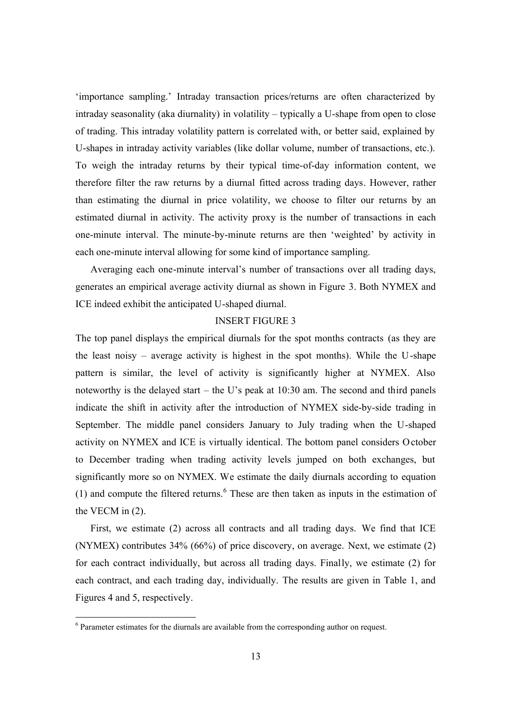'importance sampling.' Intraday transaction prices/returns are often characterized by intraday seasonality (aka diurnality) in volatility – typically a U-shape from open to close of trading. This intraday volatility pattern is correlated with, or better said, explained by U-shapes in intraday activity variables (like dollar volume, number of transactions, etc.). To weigh the intraday returns by their typical time-of-day information content, we therefore filter the raw returns by a diurnal fitted across trading days. However, rather than estimating the diurnal in price volatility, we choose to filter our returns by an estimated diurnal in activity. The activity proxy is the number of transactions in each one-minute interval. The minute-by-minute returns are then 'weighted' by activity in each one-minute interval allowing for some kind of importance sampling.

Averaging each one-minute interval's number of transactions over all trading days, generates an empirical average activity diurnal as shown in Figure 3. Both NYMEX and ICE indeed exhibit the anticipated U-shaped diurnal.

## INSERT FIGURE 3

The top panel displays the empirical diurnals for the spot months contracts (as they are the least noisy – average activity is highest in the spot months). While the U-shape pattern is similar, the level of activity is significantly higher at NYMEX. Also noteworthy is the delayed start – the U's peak at 10:30 am. The second and third panels indicate the shift in activity after the introduction of NYMEX side-by-side trading in September. The middle panel considers January to July trading when the U-shaped activity on NYMEX and ICE is virtually identical. The bottom panel considers October to December trading when trading activity levels jumped on both exchanges, but significantly more so on NYMEX. We estimate the daily diurnals according to equation (1) and compute the filtered returns. $6$  These are then taken as inputs in the estimation of the VECM in (2).

First, we estimate (2) across all contracts and all trading days. We find that ICE (NYMEX) contributes 34% (66%) of price discovery, on average. Next, we estimate (2) for each contract individually, but across all trading days. Finally, we estimate (2) for each contract, and each trading day, individually. The results are given in Table 1, and Figures 4 and 5, respectively.

 $6$  Parameter estimates for the diurnals are available from the corresponding author on request.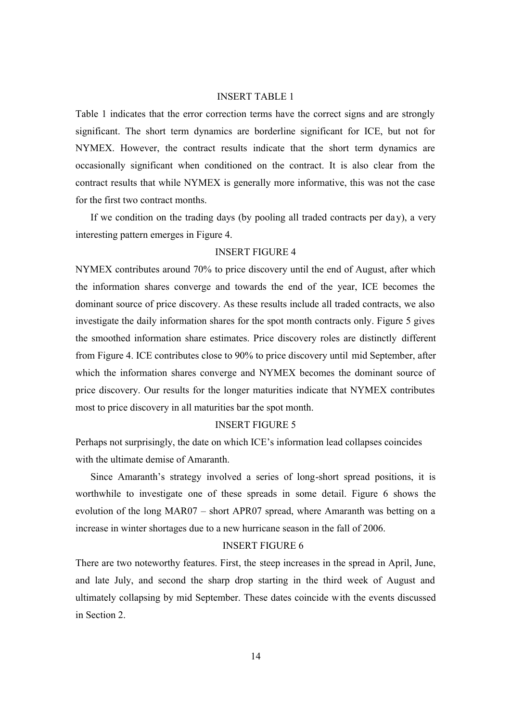#### INSERT TABLE 1

Table 1 indicates that the error correction terms have the correct signs and are strongly significant. The short term dynamics are borderline significant for ICE, but not for NYMEX. However, the contract results indicate that the short term dynamics are occasionally significant when conditioned on the contract. It is also clear from the contract results that while NYMEX is generally more informative, this was not the case for the first two contract months.

If we condition on the trading days (by pooling all traded contracts per day), a very interesting pattern emerges in Figure 4.

## INSERT FIGURE 4

NYMEX contributes around 70% to price discovery until the end of August, after which the information shares converge and towards the end of the year, ICE becomes the dominant source of price discovery. As these results include all traded contracts, we also investigate the daily information shares for the spot month contracts only. Figure 5 gives the smoothed information share estimates. Price discovery roles are distinctly different from Figure 4. ICE contributes close to 90% to price discovery until mid September, after which the information shares converge and NYMEX becomes the dominant source of price discovery. Our results for the longer maturities indicate that NYMEX contributes most to price discovery in all maturities bar the spot month.

## INSERT FIGURE 5

Perhaps not surprisingly, the date on which ICE's information lead collapses coincides with the ultimate demise of Amaranth.

Since Amaranth's strategy involved a series of long-short spread positions, it is worthwhile to investigate one of these spreads in some detail. Figure 6 shows the evolution of the long MAR07 – short APR07 spread, where Amaranth was betting on a increase in winter shortages due to a new hurricane season in the fall of 2006.

## INSERT FIGURE 6

There are two noteworthy features. First, the steep increases in the spread in April, June, and late July, and second the sharp drop starting in the third week of August and ultimately collapsing by mid September. These dates coincide with the events discussed in Section 2.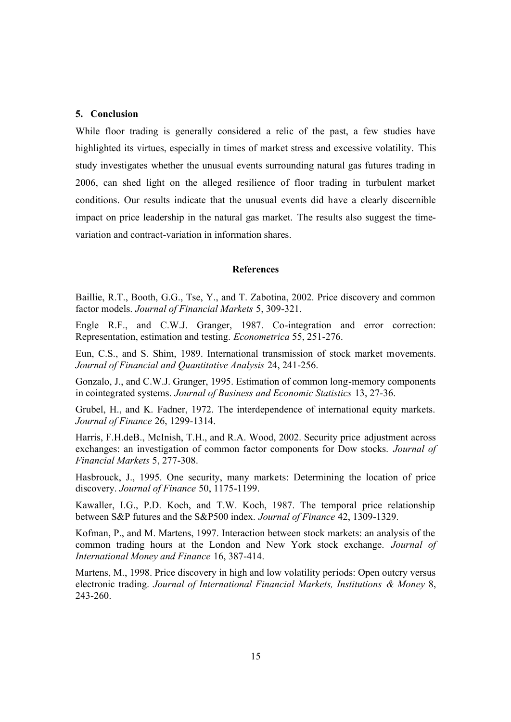## **5. Conclusion**

While floor trading is generally considered a relic of the past, a few studies have highlighted its virtues, especially in times of market stress and excessive volatility. This study investigates whether the unusual events surrounding natural gas futures trading in 2006, can shed light on the alleged resilience of floor trading in turbulent market conditions. Our results indicate that the unusual events did have a clearly discernible impact on price leadership in the natural gas market. The results also suggest the timevariation and contract-variation in information shares.

#### **References**

Baillie, R.T., Booth, G.G., Tse, Y., and T. Zabotina, 2002. Price discovery and common factor models. *Journal of Financial Markets* 5, 309-321.

Engle R.F., and C.W.J. Granger, 1987. Co-integration and error correction: Representation, estimation and testing. *Econometrica* 55, 251-276.

Eun, C.S., and S. Shim, 1989. International transmission of stock market movements. *Journal of Financial and Quantitative Analysis* 24, 241-256.

Gonzalo, J., and C.W.J. Granger, 1995. Estimation of common long-memory components in cointegrated systems. *Journal of Business and Economic Statistics* 13, 27-36.

Grubel, H., and K. Fadner, 1972. The interdependence of international equity markets. *Journal of Finance* 26, 1299-1314.

Harris, F.H.deB., McInish, T.H., and R.A. Wood, 2002. Security price adjustment across exchanges: an investigation of common factor components for Dow stocks. *Journal of Financial Markets* 5, 277-308.

Hasbrouck, J., 1995. One security, many markets: Determining the location of price discovery. *Journal of Finance* 50, 1175-1199.

Kawaller, I.G., P.D. Koch, and T.W. Koch, 1987. The temporal price relationship between S&P futures and the S&P500 index. *Journal of Finance* 42, 1309-1329.

Kofman, P., and M. Martens, 1997. Interaction between stock markets: an analysis of the common trading hours at the London and New York stock exchange. *Journal of International Money and Finance* 16, 387-414.

Martens, M., 1998. Price discovery in high and low volatility periods: Open outcry versus electronic trading. *Journal of International Financial Markets, Institutions & Money* 8, 243-260.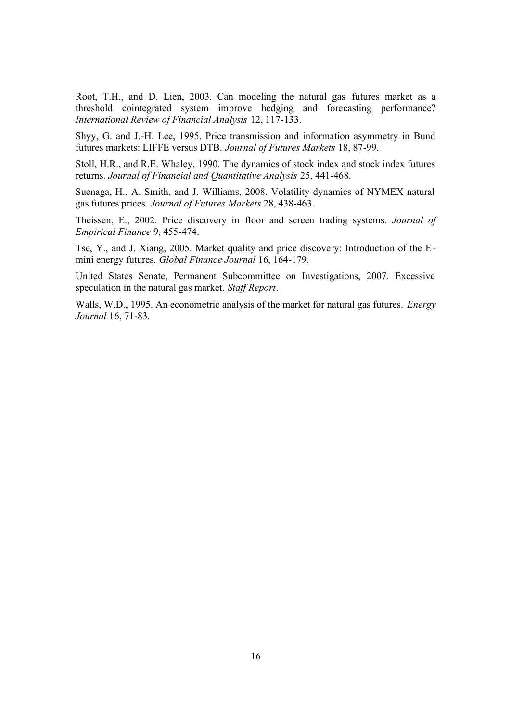Root, T.H., and D. Lien, 2003. Can modeling the natural gas futures market as a threshold cointegrated system improve hedging and forecasting performance? *International Review of Financial Analysis* 12, 117-133.

Shyy, G. and J.-H. Lee, 1995. Price transmission and information asymmetry in Bund futures markets: LIFFE versus DTB. *Journal of Futures Markets* 18, 87-99.

Stoll, H.R., and R.E. Whaley, 1990. The dynamics of stock index and stock index futures returns. *Journal of Financial and Quantitative Analysis* 25, 441-468.

Suenaga, H., A. Smith, and J. Williams, 2008. Volatility dynamics of NYMEX natural gas futures prices. *Journal of Futures Markets* 28, 438-463.

Theissen, E., 2002. Price discovery in floor and screen trading systems. *Journal of Empirical Finance* 9, 455-474.

Tse, Y., and J. Xiang, 2005. Market quality and price discovery: Introduction of the Emini energy futures. *Global Finance Journal* 16, 164-179.

United States Senate, Permanent Subcommittee on Investigations, 2007. Excessive speculation in the natural gas market. *Staff Report*.

Walls, W.D., 1995. An econometric analysis of the market for natural gas futures. *Energy Journal* 16, 71-83.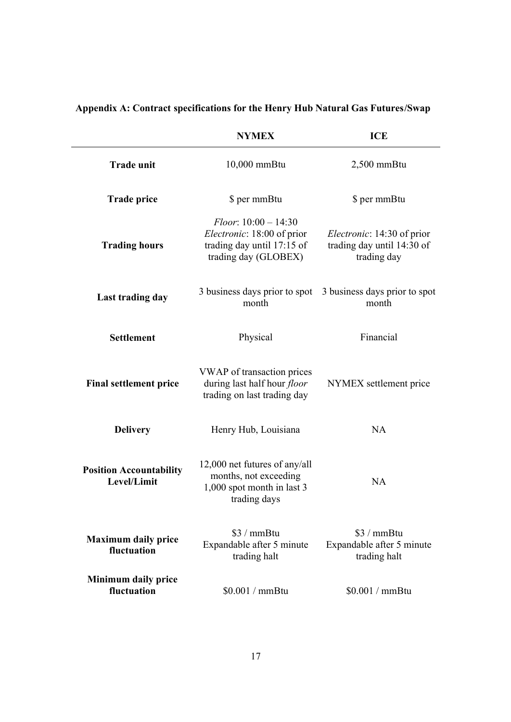## **Appendix A: Contract specifications for the Henry Hub Natural Gas Futures/Swap**

|                                               | <b>NYMEX</b>                                                                                                       | <b>ICE</b>                                                                      |  |  |
|-----------------------------------------------|--------------------------------------------------------------------------------------------------------------------|---------------------------------------------------------------------------------|--|--|
| <b>Trade unit</b>                             | 10,000 mmBtu                                                                                                       | $2,500$ mmBtu                                                                   |  |  |
| <b>Trade price</b>                            | \$ per mmBtu                                                                                                       | \$ per mmBtu                                                                    |  |  |
| <b>Trading hours</b>                          | $Floor: 10:00 - 14:30$<br><i>Electronic</i> : 18:00 of prior<br>trading day until 17:15 of<br>trading day (GLOBEX) | <i>Electronic</i> : 14:30 of prior<br>trading day until 14:30 of<br>trading day |  |  |
| Last trading day                              | 3 business days prior to spot<br>month                                                                             | 3 business days prior to spot<br>month                                          |  |  |
| <b>Settlement</b>                             | Physical                                                                                                           | Financial                                                                       |  |  |
| <b>Final settlement price</b>                 | VWAP of transaction prices<br>during last half hour <i>floor</i><br>trading on last trading day                    | NYMEX settlement price                                                          |  |  |
| <b>Delivery</b>                               | Henry Hub, Louisiana                                                                                               | <b>NA</b>                                                                       |  |  |
| <b>Position Accountability</b><br>Level/Limit | 12,000 net futures of any/all<br>months, not exceeding<br>1,000 spot month in last 3<br>trading days               | NA                                                                              |  |  |
| <b>Maximum daily price</b><br>fluctuation     | $$3 / mm$ Btu<br>Expandable after 5 minute<br>trading halt                                                         | $$3 / mm$ Btu<br>Expandable after 5 minute<br>trading halt                      |  |  |
| <b>Minimum daily price</b><br>fluctuation     | \$0.001 / mmBtu                                                                                                    | \$0.001 / mmBtu                                                                 |  |  |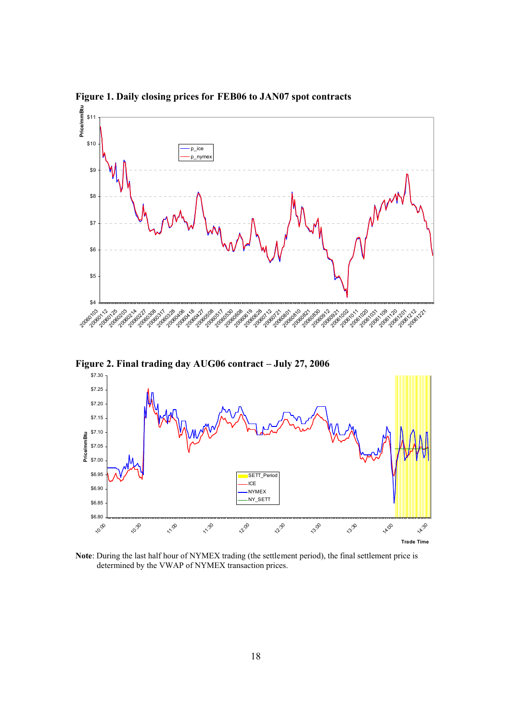

**Figure 1. Daily closing prices for FEB06 to JAN07 spot contracts** 



**Note**: During the last half hour of NYMEX trading (the settlement period), the final settlement price is determined by the VWAP of NYMEX transaction prices.

**Trade Time**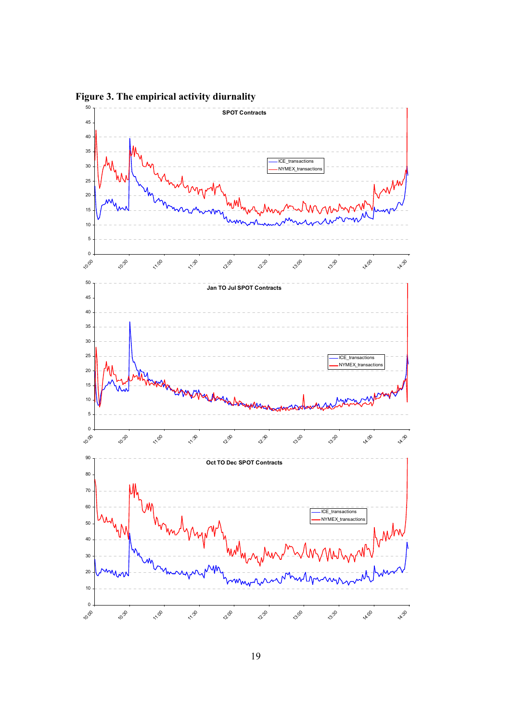

**Figure 3. The empirical activity diurnality**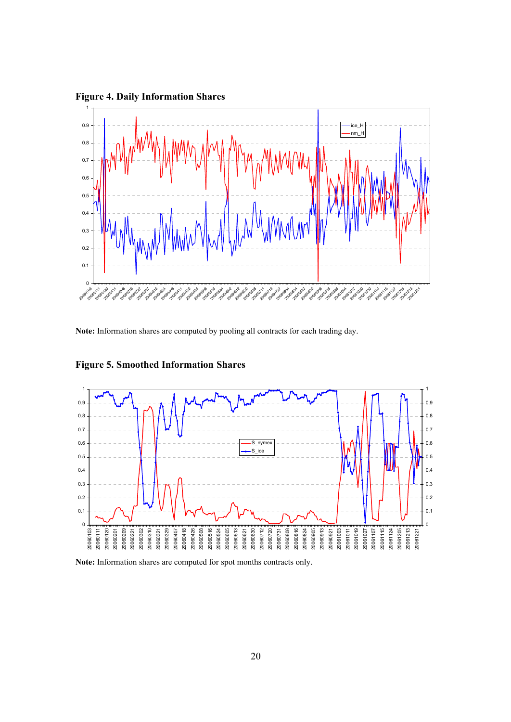**Figure 4. Daily Information Shares**



**Note:** Information shares are computed by pooling all contracts for each trading day.



## **Figure 5. Smoothed Information Shares**

**Note:** Information shares are computed for spot months contracts only.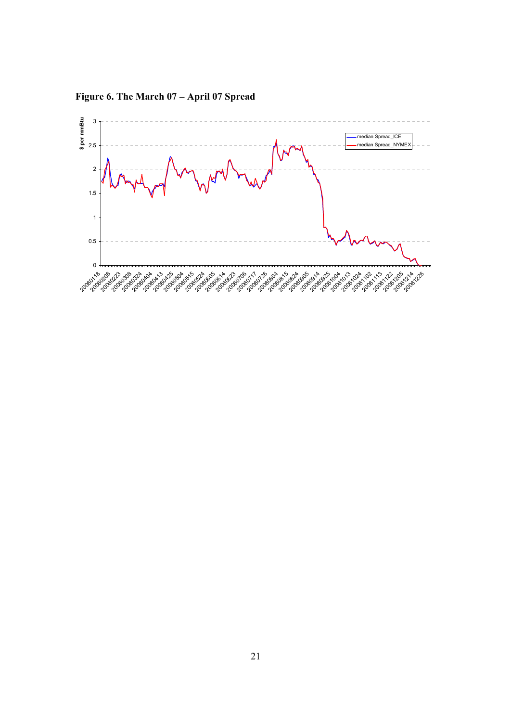

**Figure 6. The March 07 – April 07 Spread**